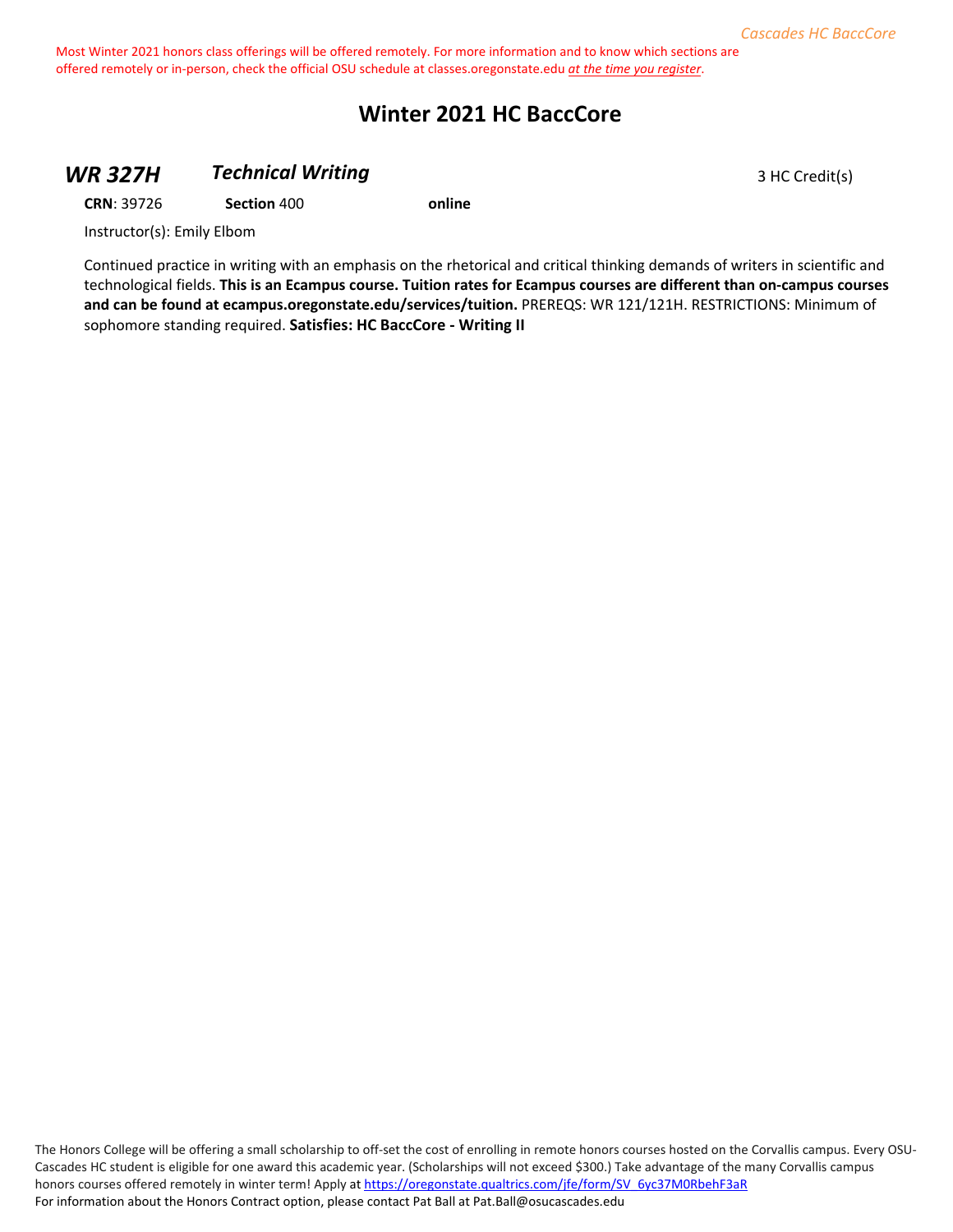# **Winter 2021 HC BaccCore**

#### **WR 327H 7echnical Writing 3 HC Credit(s)** 3 HC Credit(s)

**CRN**: 39726 **Section** 400 **online**

Instructor(s): Emily Elbom

Continued practice in writing with an emphasis on the rhetorical and critical thinking demands of writers in scientific and technological fields. **This is an Ecampus course. Tuition rates for Ecampus courses are different than on-campus courses and can be found at ecampus.oregonstate.edu/services/tuition.** PREREQS: WR 121/121H. RESTRICTIONS: Minimum of sophomore standing required. **Satisfies: HC BaccCore - Writing II**

The Honors College will be offering a small scholarship to off-set the cost of enrolling in remote honors courses hosted on the Corvallis campus. Every OSU-Cascades HC student is eligible for one award this academic year. (Scholarships will not exceed \$300.) Take advantage of the many Corvallis campus honors courses offered remotely in winter term! Apply a[t https://oregonstate.qualtrics.com/jfe/form/SV\\_6yc37M0RbehF3aR](https://oregonstate.qualtrics.com/jfe/form/SV_6yc37M0RbehF3aR) For information about the Honors Contract option, please contact Pat Ball at Pat.Ball@osucascades.edu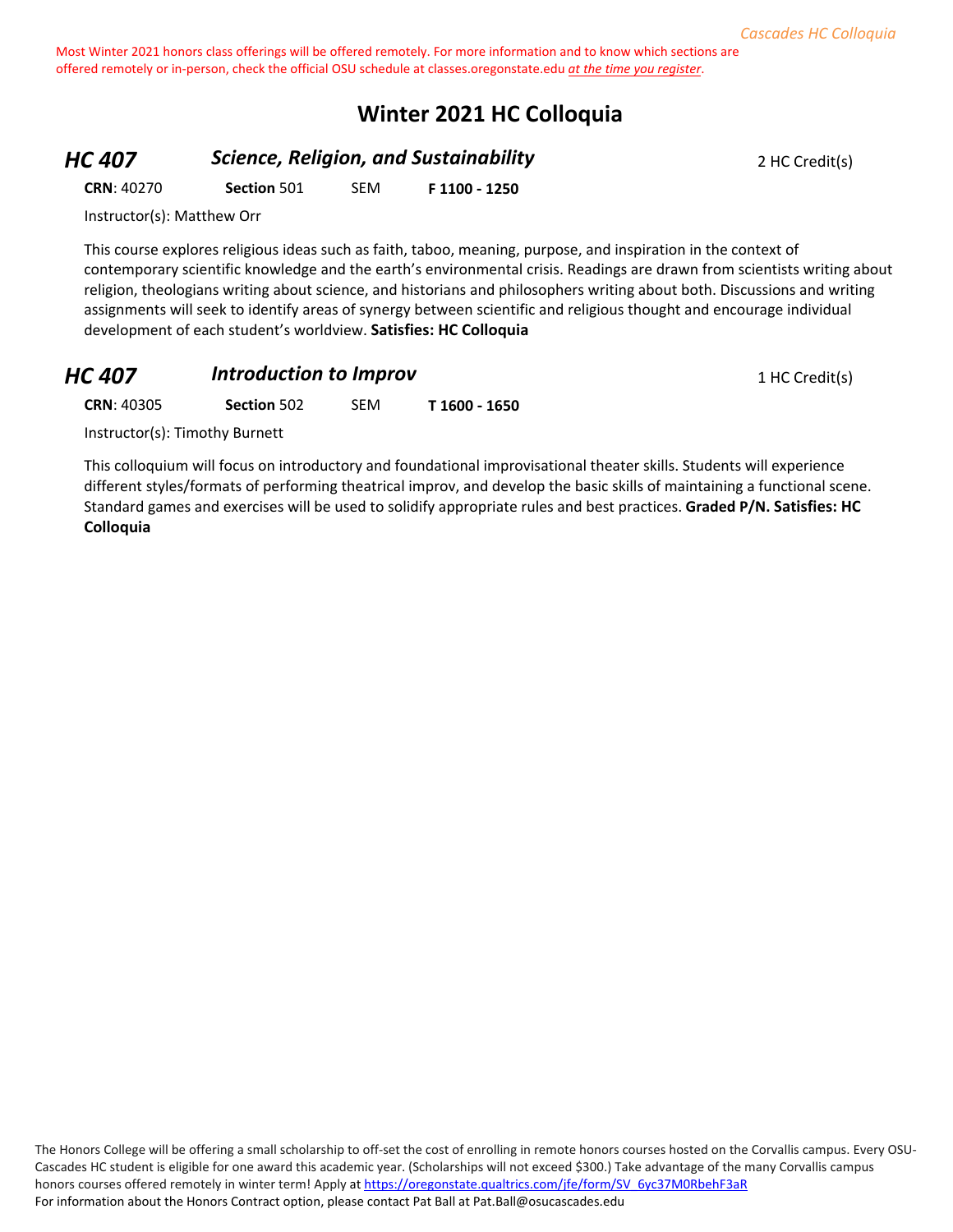# **Winter 2021 HC Colloquia**

*HC 407* **Science, Religion, and Sustainability 2 HC Credit(s)** 2 HC Credit(s)

**CRN**: 40270 **Section** 501 SEM **F 1100 - 1250**

Instructor(s): Matthew Orr

This course explores religious ideas such as faith, taboo, meaning, purpose, and inspiration in the context of contemporary scientific knowledge and the earth's environmental crisis. Readings are drawn from scientists writing about religion, theologians writing about science, and historians and philosophers writing about both. Discussions and writing assignments will seek to identify areas of synergy between scientific and religious thought and encourage individual development of each student's worldview. **Satisfies: HC Colloquia**

#### **HC 407 Introduction to Improv 1 HC Credit(s)**

**CRN**: 40305 **Section** 502 SEM **T 1600 - 1650**

Instructor(s): Timothy Burnett

This colloquium will focus on introductory and foundational improvisational theater skills. Students will experience different styles/formats of performing theatrical improv, and develop the basic skills of maintaining a functional scene. Standard games and exercises will be used to solidify appropriate rules and best practices. **Graded P/N. Satisfies: HC Colloquia**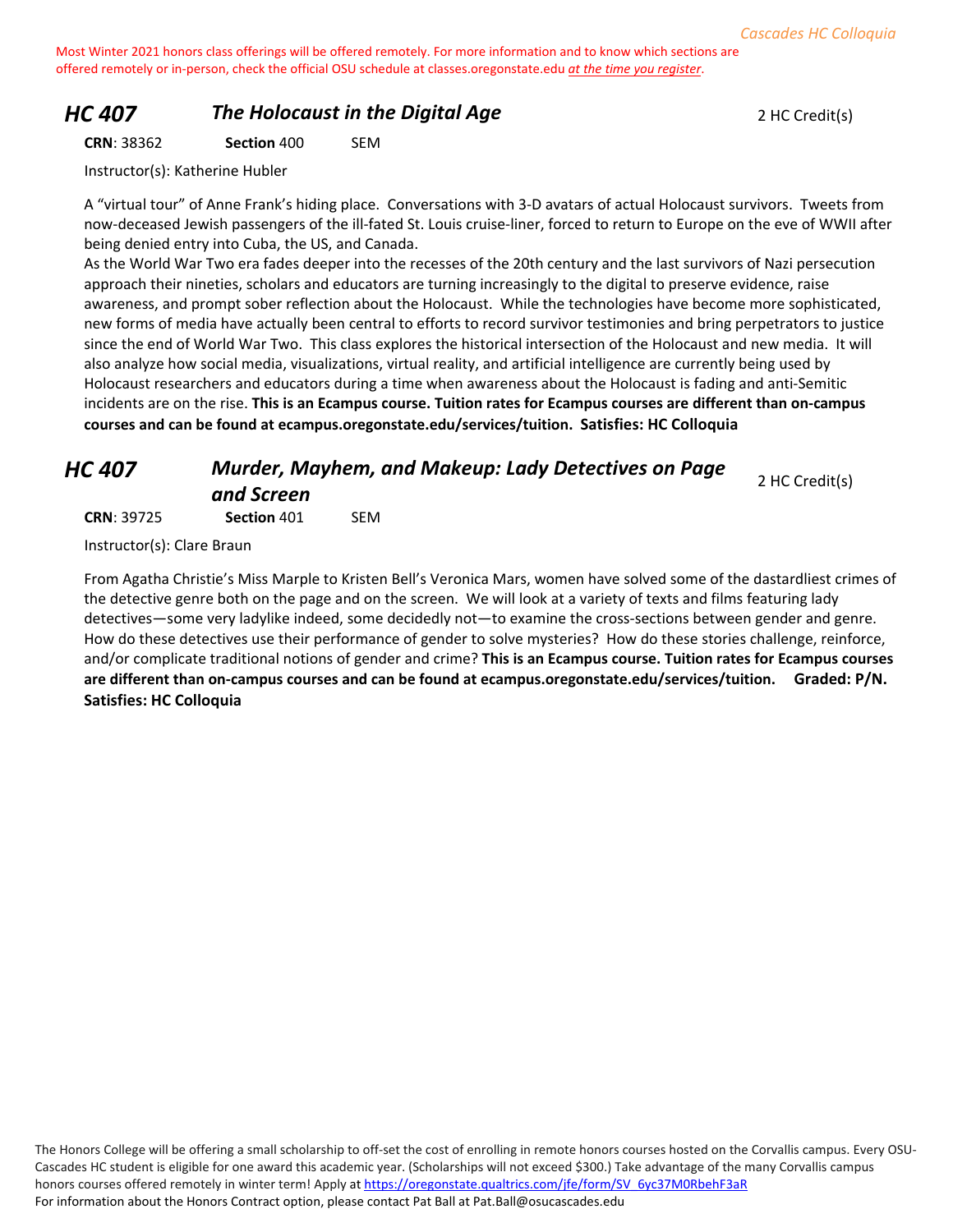#### *HC 407* **The Holocaust in the Digital Age** 2 HC Credit(s)

**CRN**: 38362 **Section** 400 SEM

Instructor(s): Katherine Hubler

A "virtual tour" of Anne Frank's hiding place. Conversations with 3-D avatars of actual Holocaust survivors. Tweets from now-deceased Jewish passengers of the ill-fated St. Louis cruise-liner, forced to return to Europe on the eve of WWII after being denied entry into Cuba, the US, and Canada.

As the World War Two era fades deeper into the recesses of the 20th century and the last survivors of Nazi persecution approach their nineties, scholars and educators are turning increasingly to the digital to preserve evidence, raise awareness, and prompt sober reflection about the Holocaust. While the technologies have become more sophisticated, new forms of media have actually been central to efforts to record survivor testimonies and bring perpetrators to justice since the end of World War Two. This class explores the historical intersection of the Holocaust and new media. It will also analyze how social media, visualizations, virtual reality, and artificial intelligence are currently being used by Holocaust researchers and educators during a time when awareness about the Holocaust is fading and anti-Semitic incidents are on the rise. **This is an Ecampus course. Tuition rates for Ecampus courses are different than on-campus courses and can be found at ecampus.oregonstate.edu/services/tuition. Satisfies: HC Colloquia**

#### *HC 407 Murder, Mayhem, and Makeup: Lady Detectives on Page and Screen* 2 HC Credit(s)

**CRN**: 39725 **Section** 401 SEM

Instructor(s): Clare Braun

From Agatha Christie's Miss Marple to Kristen Bell's Veronica Mars, women have solved some of the dastardliest crimes of the detective genre both on the page and on the screen. We will look at a variety of texts and films featuring lady detectives—some very ladylike indeed, some decidedly not—to examine the cross-sections between gender and genre. How do these detectives use their performance of gender to solve mysteries? How do these stories challenge, reinforce, and/or complicate traditional notions of gender and crime? **This is an Ecampus course. Tuition rates for Ecampus courses are different than on-campus courses and can be found at ecampus.oregonstate.edu/services/tuition. Graded: P/N. Satisfies: HC Colloquia**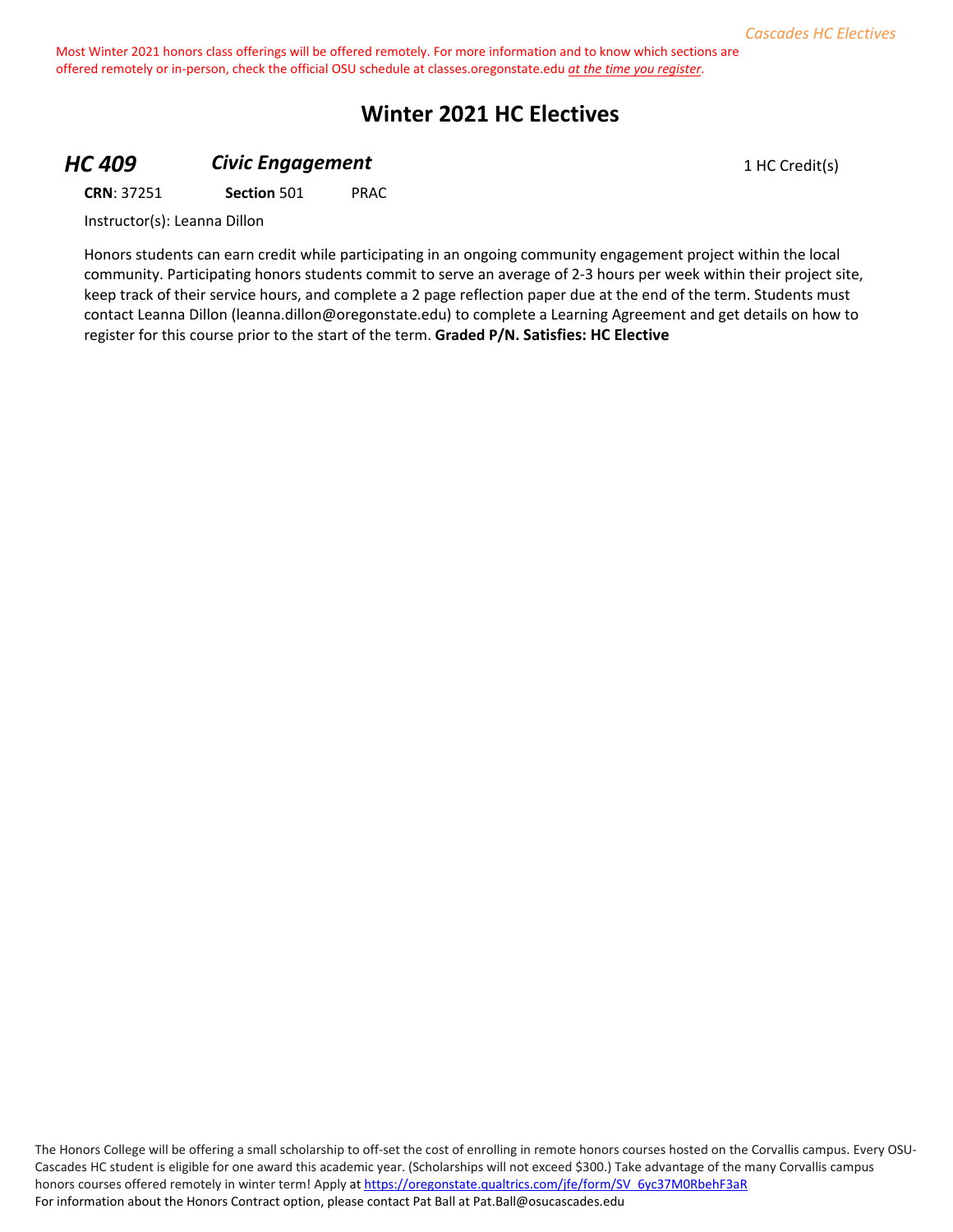# **Winter 2021 HC Electives**

### **HC 409 Civic Engagement Civic Engagement** 1 HC Credit(s)

**CRN**: 37251 **Section** 501 PRAC

Instructor(s): Leanna Dillon

Honors students can earn credit while participating in an ongoing community engagement project within the local community. Participating honors students commit to serve an average of 2-3 hours per week within their project site, keep track of their service hours, and complete a 2 page reflection paper due at the end of the term. Students must contact Leanna Dillon (leanna.dillon@oregonstate.edu) to complete a Learning Agreement and get details on how to register for this course prior to the start of the term. **Graded P/N. Satisfies: HC Elective**

The Honors College will be offering a small scholarship to off-set the cost of enrolling in remote honors courses hosted on the Corvallis campus. Every OSU-Cascades HC student is eligible for one award this academic year. (Scholarships will not exceed \$300.) Take advantage of the many Corvallis campus honors courses offered remotely in winter term! Apply a[t https://oregonstate.qualtrics.com/jfe/form/SV\\_6yc37M0RbehF3aR](https://oregonstate.qualtrics.com/jfe/form/SV_6yc37M0RbehF3aR) For information about the Honors Contract option, please contact Pat Ball at Pat.Ball@osucascades.edu